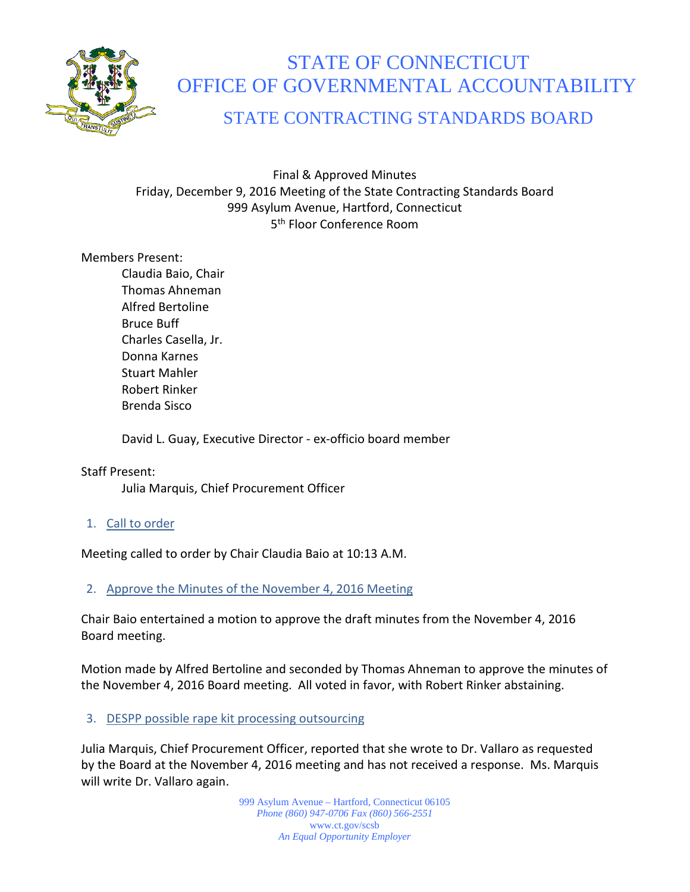

# STATE OF CONNECTICUT OFFICE OF GOVERNMENTAL ACCOUNTABILITY

STATE CONTRACTING STANDARDS BOARD

Final & Approved Minutes Friday, December 9, 2016 Meeting of the State Contracting Standards Board 999 Asylum Avenue, Hartford, Connecticut 5<sup>th</sup> Floor Conference Room

## Members Present:

Claudia Baio, Chair Thomas Ahneman Alfred Bertoline Bruce Buff Charles Casella, Jr. Donna Karnes Stuart Mahler Robert Rinker Brenda Sisco

David L. Guay, Executive Director - ex-officio board member

## Staff Present:

Julia Marquis, Chief Procurement Officer

1. Call to order

Meeting called to order by Chair Claudia Baio at 10:13 A.M.

# 2. Approve the Minutes of the November 4, 2016 Meeting

Chair Baio entertained a motion to approve the draft minutes from the November 4, 2016 Board meeting.

Motion made by Alfred Bertoline and seconded by Thomas Ahneman to approve the minutes of the November 4, 2016 Board meeting. All voted in favor, with Robert Rinker abstaining.

## 3. DESPP possible rape kit processing outsourcing

Julia Marquis, Chief Procurement Officer, reported that she wrote to Dr. Vallaro as requested by the Board at the November 4, 2016 meeting and has not received a response. Ms. Marquis will write Dr. Vallaro again.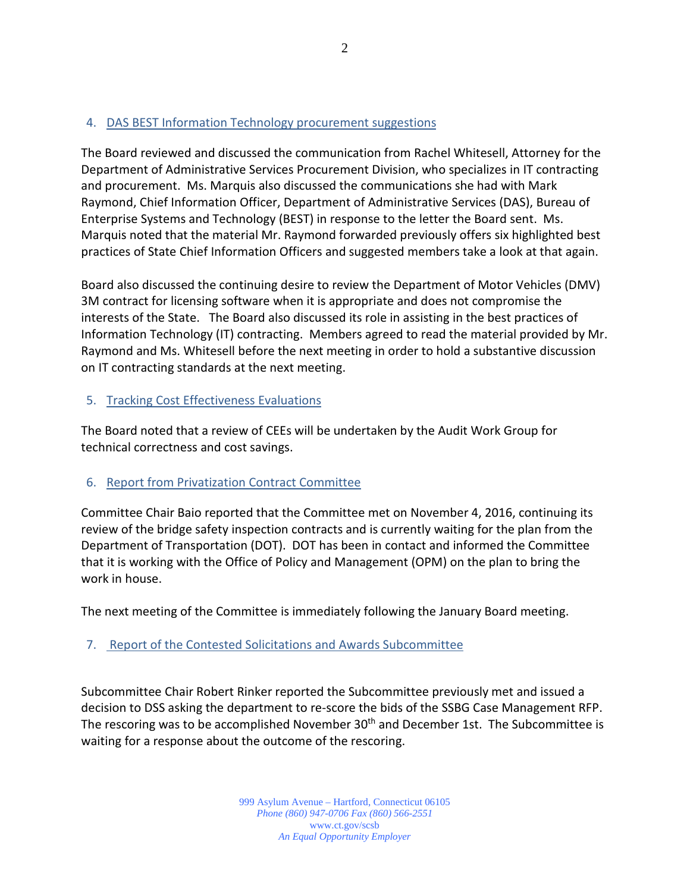## 4. DAS BEST Information Technology procurement suggestions

The Board reviewed and discussed the communication from Rachel Whitesell, Attorney for the Department of Administrative Services Procurement Division, who specializes in IT contracting and procurement. Ms. Marquis also discussed the communications she had with Mark Raymond, Chief Information Officer, Department of Administrative Services (DAS), Bureau of Enterprise Systems and Technology (BEST) in response to the letter the Board sent. Ms. Marquis noted that the material Mr. Raymond forwarded previously offers six highlighted best practices of State Chief Information Officers and suggested members take a look at that again.

Board also discussed the continuing desire to review the Department of Motor Vehicles (DMV) 3M contract for licensing software when it is appropriate and does not compromise the interests of the State. The Board also discussed its role in assisting in the best practices of Information Technology (IT) contracting. Members agreed to read the material provided by Mr. Raymond and Ms. Whitesell before the next meeting in order to hold a substantive discussion on IT contracting standards at the next meeting.

## 5. Tracking Cost Effectiveness Evaluations

The Board noted that a review of CEEs will be undertaken by the Audit Work Group for technical correctness and cost savings.

# 6. Report from Privatization Contract Committee

Committee Chair Baio reported that the Committee met on November 4, 2016, continuing its review of the bridge safety inspection contracts and is currently waiting for the plan from the Department of Transportation (DOT). DOT has been in contact and informed the Committee that it is working with the Office of Policy and Management (OPM) on the plan to bring the work in house.

The next meeting of the Committee is immediately following the January Board meeting.

# 7. Report of the Contested Solicitations and Awards Subcommittee

Subcommittee Chair Robert Rinker reported the Subcommittee previously met and issued a decision to DSS asking the department to re-score the bids of the SSBG Case Management RFP. The rescoring was to be accomplished November 30<sup>th</sup> and December 1st. The Subcommittee is waiting for a response about the outcome of the rescoring.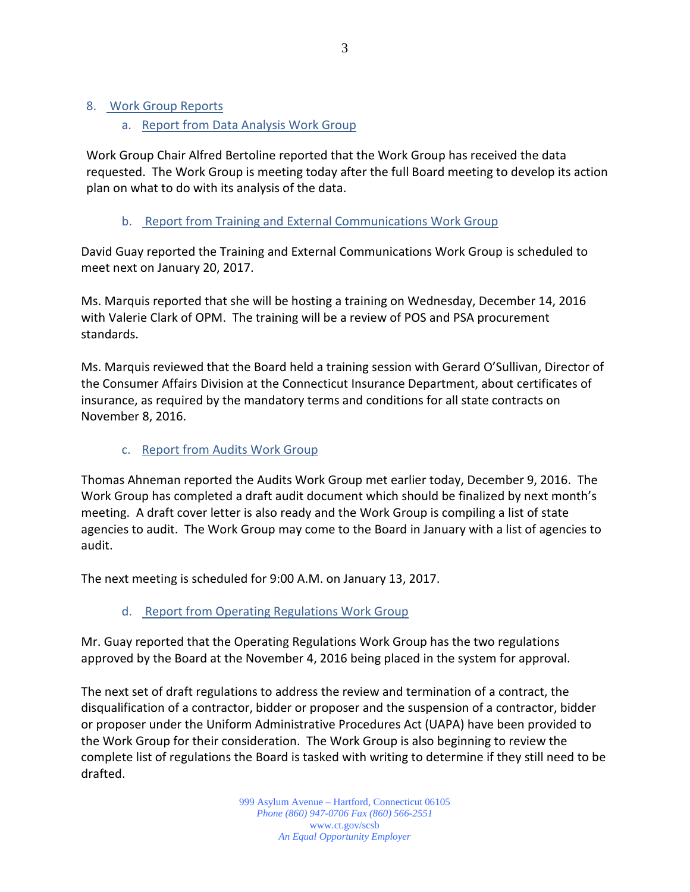#### 8. Work Group Reports

## a. Report from Data Analysis Work Group

Work Group Chair Alfred Bertoline reported that the Work Group has received the data requested. The Work Group is meeting today after the full Board meeting to develop its action plan on what to do with its analysis of the data.

## b. Report from Training and External Communications Work Group

David Guay reported the Training and External Communications Work Group is scheduled to meet next on January 20, 2017.

Ms. Marquis reported that she will be hosting a training on Wednesday, December 14, 2016 with Valerie Clark of OPM. The training will be a review of POS and PSA procurement standards.

Ms. Marquis reviewed that the Board held a training session with Gerard O'Sullivan, Director of the Consumer Affairs Division at the Connecticut Insurance Department, about certificates of insurance, as required by the mandatory terms and conditions for all state contracts on November 8, 2016.

## c. Report from Audits Work Group

Thomas Ahneman reported the Audits Work Group met earlier today, December 9, 2016. The Work Group has completed a draft audit document which should be finalized by next month's meeting. A draft cover letter is also ready and the Work Group is compiling a list of state agencies to audit. The Work Group may come to the Board in January with a list of agencies to audit.

The next meeting is scheduled for 9:00 A.M. on January 13, 2017.

# d. Report from Operating Regulations Work Group

Mr. Guay reported that the Operating Regulations Work Group has the two regulations approved by the Board at the November 4, 2016 being placed in the system for approval.

The next set of draft regulations to address the review and termination of a contract, the disqualification of a contractor, bidder or proposer and the suspension of a contractor, bidder or proposer under the Uniform Administrative Procedures Act (UAPA) have been provided to the Work Group for their consideration. The Work Group is also beginning to review the complete list of regulations the Board is tasked with writing to determine if they still need to be drafted.